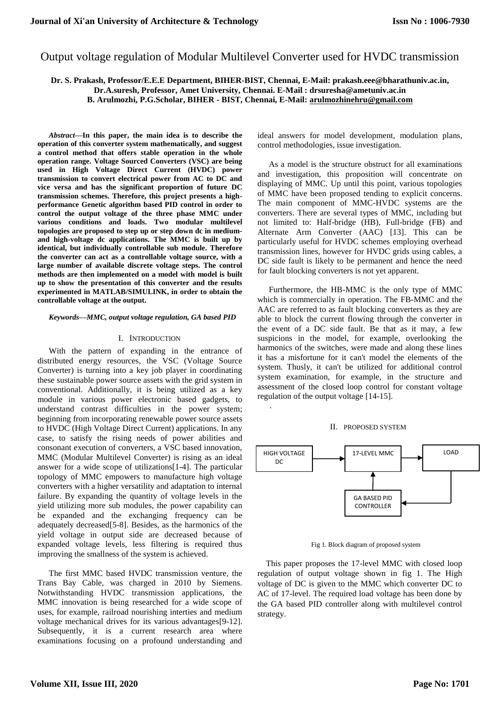# Output voltage regulation of Modular Multilevel Converter used for HVDC transmission

**Dr. S. Prakash, Professor/E.E.E Department, BIHER-BIST, Chennai, E-Mail: prakash.eee@bharathuniv.ac.in, Dr.A.suresh, Professor, Amet University, Chennai. E-Mail : drsuresha@ametuniv.ac.in B. Arulmozhi, P.G.Scholar, BIHER - BIST, Chennai, E-Mail: arulmozhinehru@gmail.com**

.

*Abstract***—In this paper, the main idea is to describe the operation of this converter system mathematically, and suggest a control method that offers stable operation in the whole operation range. Voltage Sourced Converters (VSC) are being used in High Voltage Direct Current (HVDC) power transmission to convert electrical power from AC to DC and vice versa and has the significant proportion of future DC transmission schemes. Therefore, this project presents a highperformance Genetic algorithm based PID control in order to control the output voltage of the three phase MMC under various conditions and loads. Two modular multilevel topologies are proposed to step up or step down dc in mediumand high-voltage dc applications. The MMC is built up by identical, but individually controllable sub module. Therefore the converter can act as a controllable voltage source, with a large number of available discrete voltage steps. The control methods are then implemented on a model with model is built up to show the presentation of this converter and the results experimented in MATLAB/SIMULINK, in order to obtain the controllable voltage at the output.**

#### *Keywords—MMC, output voltage regulation, GA based PID*

#### I. INTRODUCTION

With the pattern of expanding in the entrance of distributed energy resources, the VSC (Voltage Source Converter) is turning into a key job player in coordinating these sustainable power source assets with the grid system in conventional. Additionally, it is being utilized as a key module in various power electronic based gadgets, to understand contrast difficulties in the power system; beginning from incorporating renewable power source assets to HVDC (High Voltage Direct Current) applications. In any case, to satisfy the rising needs of power abilities and consonant execution of converters, a VSC based innovation, MMC (Modular Multilevel Converter) is rising as an ideal answer for a wide scope of utilizations[1-4]. The particular topology of MMC empowers to manufacture high voltage converters with a higher versatility and adaptation to internal failure. By expanding the quantity of voltage levels in the yield utilizing more sub modules, the power capability can be expanded and the exchanging frequency can be adequately decreased[5-8]. Besides, as the harmonics of the yield voltage in output side are decreased because of expanded voltage levels, less filtering is required thus improving the smallness of the system is achieved.

The first MMC based HVDC transmission venture, the Trans Bay Cable, was charged in 2010 by Siemens. Notwithstanding HVDC transmission applications, the MMC innovation is being researched for a wide scope of uses, for example, railroad nourishing interties and medium voltage mechanical drives for its various advantages[9-12]. Subsequently, it is a current research area where examinations focusing on a profound understanding and

ideal answers for model development, modulation plans, control methodologies, issue investigation.

As a model is the structure obstruct for all examinations and investigation, this proposition will concentrate on displaying of MMC. Up until this point, various topologies of MMC have been proposed tending to explicit concerns. The main component of MMC-HVDC systems are the converters. There are several types of MMC, including but not limited to: Half-bridge (HB), Full-bridge (FB) and Alternate Arm Converter (AAC) [13]. This can be particularly useful for HVDC schemes employing overhead transmission lines, however for HVDC grids using cables, a DC side fault is likely to be permanent and hence the need for fault blocking converters is not yet apparent.

Furthermore, the HB-MMC is the only type of MMC which is commercially in operation. The FB-MMC and the AAC are referred to as fault blocking converters as they are able to block the current flowing through the converter in the event of a DC side fault. Be that as it may, a few suspicions in the model, for example, overlooking the harmonics of the switches, were made and along these lines it has a misfortune for it can't model the elements of the system. Thusly, it can't be utilized for additional control system examination, for example, in the structure and assessment of the closed loop control for constant voltage regulation of the output voltage [14-15].

### II. PROPOSED SYSTEM



Fig 1. Block diagram of proposed system

This paper proposes the 17-level MMC with closed loop regulation of output voltage shown in fig 1. The High voltage of DC is given to the MMC which converter DC to AC of 17-level. The required load voltage has been done by the GA based PID controller along with multilevel control strategy.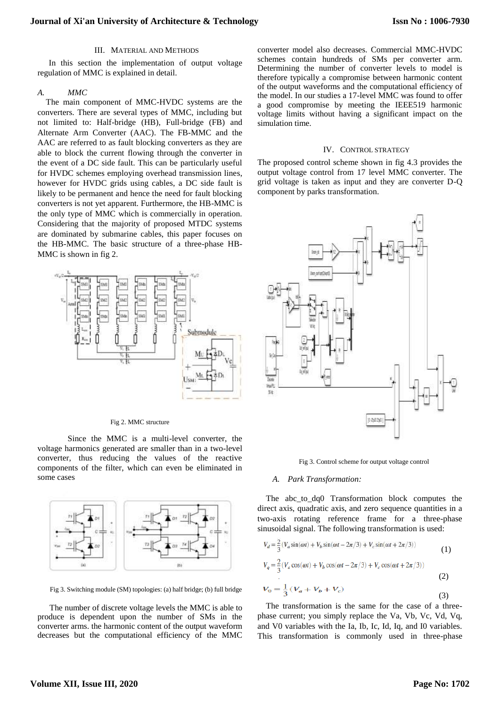### III. MATERIAL AND METHODS

In this section the implementation of output voltage regulation of MMC is explained in detail.

### *A. MMC*

The main component of MMC-HVDC systems are the converters. There are several types of MMC, including but not limited to: Half-bridge (HB), Full-bridge (FB) and Alternate Arm Converter (AAC). The FB-MMC and the AAC are referred to as fault blocking converters as they are able to block the current flowing through the converter in the event of a DC side fault. This can be particularly useful for HVDC schemes employing overhead transmission lines, however for HVDC grids using cables, a DC side fault is likely to be permanent and hence the need for fault blocking converters is not yet apparent. Furthermore, the HB-MMC is the only type of MMC which is commercially in operation. Considering that the majority of proposed MTDC systems are dominated by submarine cables, this paper focuses on the HB-MMC. The basic structure of a three-phase HB-MMC is shown in fig 2.



#### Fig 2. MMC structure

Since the MMC is a multi-level converter, the voltage harmonics generated are smaller than in a two-level converter, thus reducing the values of the reactive components of the filter, which can even be eliminated in some cases



Fig 3. Switching module (SM) topologies: (a) half bridge; (b) full bridge

The number of discrete voltage levels the MMC is able to produce is dependent upon the number of SMs in the converter arms. the harmonic content of the output waveform decreases but the computational efficiency of the MMC

converter model also decreases. Commercial MMC-HVDC schemes contain hundreds of SMs per converter arm. Determining the number of converter levels to model is therefore typically a compromise between harmonic content of the output waveforms and the computational efficiency of the model. In our studies a 17-level MMC was found to offer a good compromise by meeting the IEEE519 harmonic voltage limits without having a significant impact on the simulation time.

#### IV. CONTROL STRATEGY

The proposed control scheme shown in fig 4.3 provides the output voltage control from 17 level MMC converter. The grid voltage is taken as input and they are converter D-Q component by parks transformation.



Fig 3. Control scheme for output voltage control

#### *A. Park Transformation:*

The abc\_to\_dq0 Transformation block computes the direct axis, quadratic axis, and zero sequence quantities in a two-axis rotating reference frame for a three-phase sinusoidal signal. The following transformation is used:

$$
V_d = \frac{2}{3}(V_a \sin(\omega t) + V_b \sin(\omega t - 2\pi/3) + V_c \sin(\omega t + 2\pi/3))
$$
\n(1)

$$
V_q = \frac{2}{3}(V_a \cos(\omega t) + V_b \cos(\omega t - 2\pi/3) + V_c \cos(\omega t + 2\pi/3))
$$
\n(2)

$$
V_0 = \frac{1}{3} (V_a + V_b + V_c)
$$
\n(3)

The transformation is the same for the case of a threephase current; you simply replace the Va, Vb, Vc, Vd, Vq, and V0 variables with the Ia, Ib, Ic, Id, Iq, and I0 variables. This transformation is commonly used in three-phase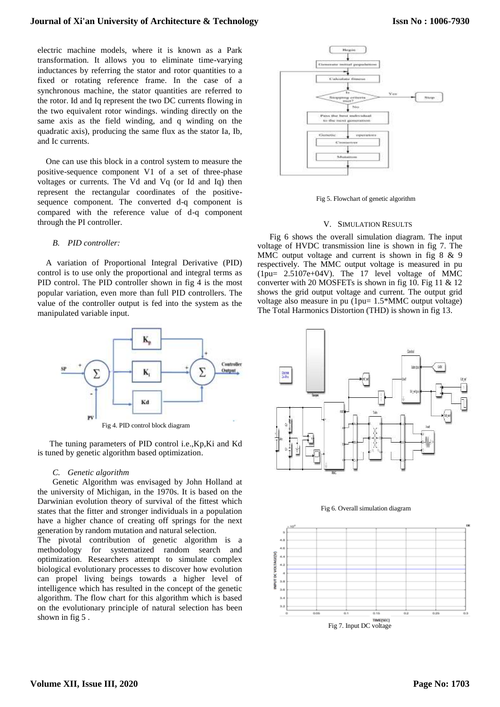# **Journal of Xi'an University of Architecture & Technology**

electric machine models, where it is known as a Park transformation. It allows you to eliminate time-varying inductances by referring the stator and rotor quantities to a fixed or rotating reference frame. In the case of a synchronous machine, the stator quantities are referred to the rotor. Id and Iq represent the two DC currents flowing in the two equivalent rotor windings. winding directly on the same axis as the field winding, and q winding on the quadratic axis), producing the same flux as the stator Ia, Ib, and Ic currents.

One can use this block in a control system to measure the positive-sequence component V1 of a set of three-phase voltages or currents. The Vd and Vq (or Id and Iq) then represent the rectangular coordinates of the positivesequence component. The converted d-q component is compared with the reference value of d-q component through the PI controller.

# *B. PID controller:*

A variation of Proportional Integral Derivative (PID) control is to use only the proportional and integral terms as PID control. The PID controller shown in fig 4 is the most popular variation, even more than full PID controllers. The value of the controller output is fed into the system as the manipulated variable input.



Fig 4. PID control block diagram

The tuning parameters of PID control i.e.,Kp,Ki and Kd is tuned by genetic algorithm based optimization.

#### *C. Genetic algorithm*

Genetic Algorithm was envisaged by John Holland at the university of Michigan, in the 1970s. It is based on the Darwinian evolution theory of survival of the fittest which states that the fitter and stronger individuals in a population have a higher chance of creating off springs for the next generation by random mutation and natural selection.

The pivotal contribution of genetic algorithm is a methodology for systematized random search and optimization. Researchers attempt to simulate complex biological evolutionary processes to discover how evolution can propel living beings towards a higher level of intelligence which has resulted in the concept of the genetic algorithm. The flow chart for this algorithm which is based on the evolutionary principle of natural selection has been shown in fig 5 .



Fig 5. Flowchart of genetic algorithm

# V. SIMULATION RESULTS

Fig 6 shows the overall simulation diagram. The input voltage of HVDC transmission line is shown in fig 7. The MMC output voltage and current is shown in fig 8 & 9 respectively. The MMC output voltage is measured in pu (1pu= 2.5107e+04V). The 17 level voltage of MMC converter with 20 MOSFETs is shown in fig 10. Fig 11  $\&$  12 shows the grid output voltage and current. The output grid voltage also measure in pu (1pu= 1.5\*MMC output voltage) The Total Harmonics Distortion (THD) is shown in fig 13.



Fig 6. Overall simulation diagram